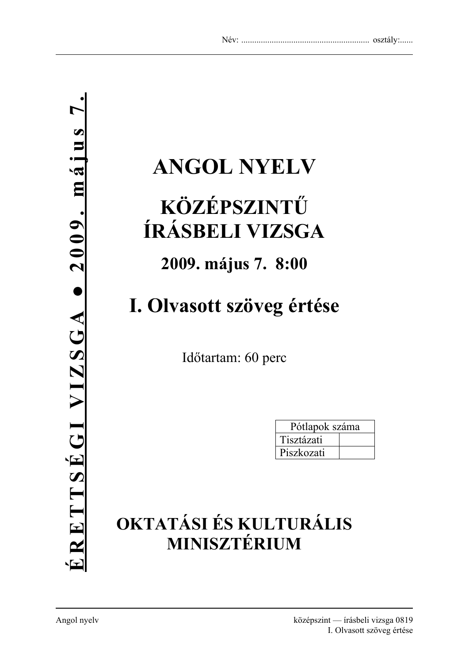# **ANGOL NYELV**

# **KÖZÉPSZINTŰ ÍRÁSBELI VIZSGA**

### **2009. május 7. 8:00**

# **I. Olvasott szöveg értése**

Időtartam: 60 perc

| Pótlapok száma |  |  |
|----------------|--|--|
| Tisztázati     |  |  |
| Piszkozati     |  |  |

## **OKTATÁSI ÉS KULTURÁLIS MINISZTÉRIUM**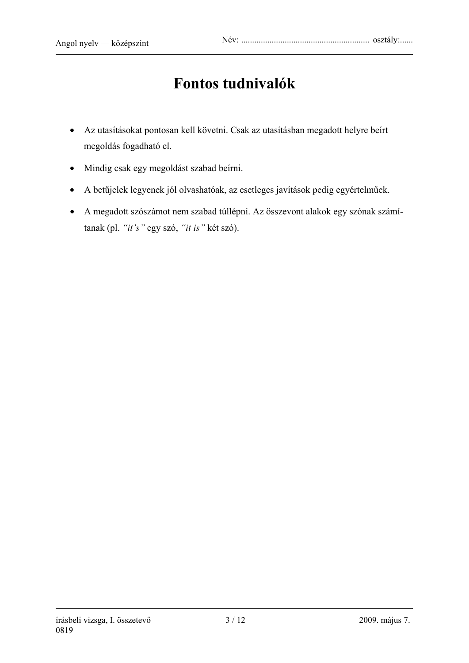### **Fontos tudnivalók**

- Az utasításokat pontosan kell követni. Csak az utasításban megadott helyre beírt megoldás fogadható el.
- Mindig csak egy megoldást szabad beírni.
- A betűjelek legyenek jól olvashatóak, az esetleges javítások pedig egyértelműek.
- A megadott szószámot nem szabad túllépni. Az összevont alakok egy szónak számítanak (pl. *"it's"* egy szó, *"it is"* két szó).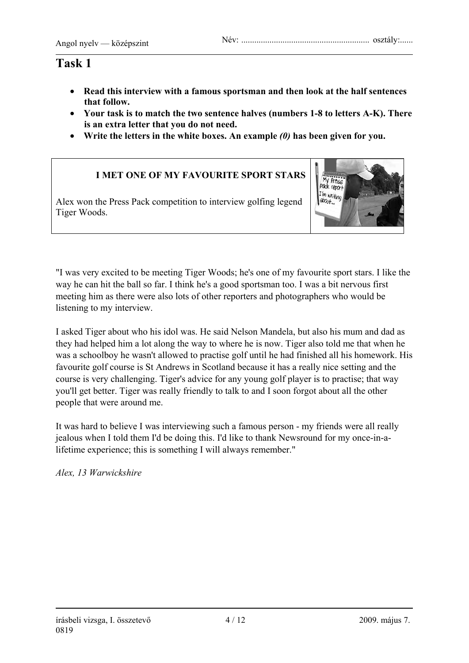- **Read this interview with a famous sportsman and then look at the half sentences that follow.**
- **Your task is to match the two sentence halves (numbers 1-8 to letters A-K). There is an extra letter that you do not need.**
- **Write the letters in the white boxes. An example** *(0)* **has been given for you.**

#### **I MET ONE OF MY FAVOURITE SPORT STARS**

Alex won the Press Pack competition to interview golfing legend Tiger Woods.



"I was very excited to be meeting Tiger Woods; he's one of my favourite sport stars. I like the way he can hit the ball so far. I think he's a good sportsman too. I was a bit nervous first meeting him as there were also lots of other reporters and photographers who would be listening to my interview.

I asked Tiger about who his idol was. He said Nelson Mandela, but also his mum and dad as they had helped him a lot along the way to where he is now. Tiger also told me that when he was a schoolboy he wasn't allowed to practise golf until he had finished all his homework. His favourite golf course is St Andrews in Scotland because it has a really nice setting and the course is very challenging. Tiger's advice for any young golf player is to practise; that way you'll get better. Tiger was really friendly to talk to and I soon forgot about all the other people that were around me.

It was hard to believe I was interviewing such a famous person - my friends were all really jealous when I told them I'd be doing this. I'd like to thank Newsround for my once-in-alifetime experience; this is something I will always remember."

*Alex, 13 Warwickshire*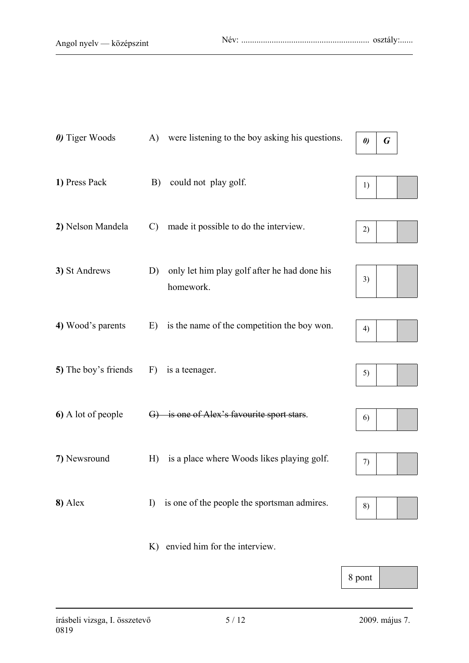| 0) Tiger Woods       | (A)           | were listening to the boy asking his questions.           | $\boldsymbol{\theta}$ | G |  |
|----------------------|---------------|-----------------------------------------------------------|-----------------------|---|--|
| 1) Press Pack        | B)            | could not play golf.                                      | 1)                    |   |  |
| 2) Nelson Mandela    | $\mathcal{C}$ | made it possible to do the interview.                     | 2)                    |   |  |
| 3) St Andrews        | D)            | only let him play golf after he had done his<br>homework. | 3)                    |   |  |
| 4) Wood's parents    | E)            | is the name of the competition the boy won.               | 4)                    |   |  |
| 5) The boy's friends | F)            | is a teenager.                                            | 5)                    |   |  |
| 6) A lot of people   | $\Theta$      | is one of Alex's favourite sport stars.                   | 6)                    |   |  |
| 7) Newsround         | H)            | is a place where Woods likes playing golf.                | 7)                    |   |  |
| 8) Alex              | I)            | is one of the people the sportsman admires.               | 8)                    |   |  |
|                      |               | K) envied him for the interview.                          |                       |   |  |

8 pont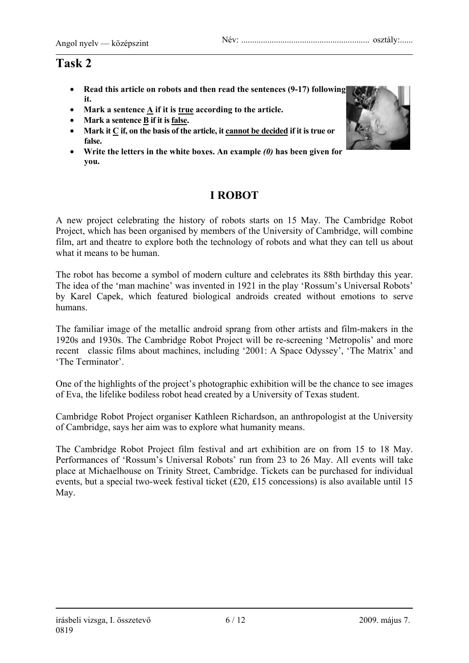- **Read this article on robots and then read the sentences (9-17) following it.**
- **Mark a sentence A if it is true according to the article.**
- **Mark a sentence B if it is false.**
- Mark it  $C$  if, on the basis of the article, it cannot be decided if it is true or **false.**
- **Write the letters in the white boxes. An example** *(0)* **has been given for you.**

### **I ROBOT**

A new project celebrating the history of robots starts on 15 May. The Cambridge Robot Project, which has been organised by members of the University of Cambridge, will combine film, art and theatre to explore both the technology of robots and what they can tell us about what it means to be human.

The robot has become a symbol of modern culture and celebrates its 88th birthday this year. The idea of the 'man machine' was invented in 1921 in the play 'Rossum's Universal Robots' by Karel Capek, which featured biological androids created without emotions to serve humans.

The familiar image of the metallic android sprang from other artists and film-makers in the 1920s and 1930s. The Cambridge Robot Project will be re-screening 'Metropolis' and more recent classic films about machines, including '2001: A Space Odyssey', 'The Matrix' and 'The Terminator'.

One of the highlights of the project's photographic exhibition will be the chance to see images of Eva, the lifelike bodiless robot head created by a University of Texas student.

Cambridge Robot Project organiser Kathleen Richardson, an anthropologist at the University of Cambridge, says her aim was to explore what humanity means.

The Cambridge Robot Project film festival and art exhibition are on from 15 to 18 May. Performances of 'Rossum's Universal Robots' run from 23 to 26 May. All events will take place at Michaelhouse on Trinity Street, Cambridge. Tickets can be purchased for individual events, but a special two-week festival ticket (£20, £15 concessions) is also available until 15 May.

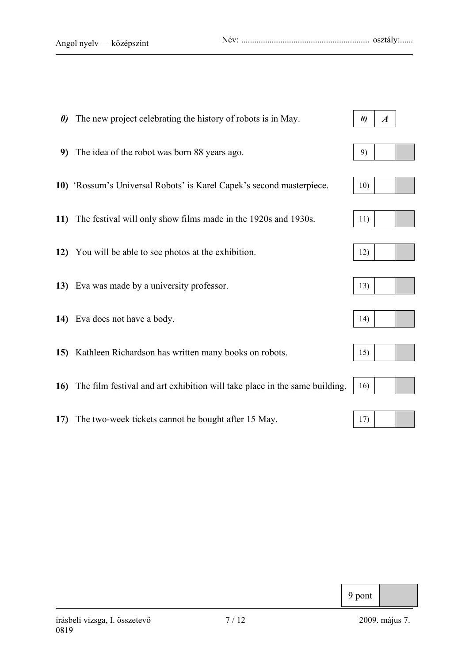Angol nyelv — középszint Név: ........................................................... osztály:......

| $\boldsymbol{\theta}$ | The new project celebrating the history of robots is in May.                   | $\boldsymbol{\theta}$ | $\boldsymbol{A}$ |  |
|-----------------------|--------------------------------------------------------------------------------|-----------------------|------------------|--|
|                       | 9) The idea of the robot was born 88 years ago.                                | 9)                    |                  |  |
|                       | 10) 'Rossum's Universal Robots' is Karel Capek's second masterpiece.           | 10)                   |                  |  |
| 11)                   | The festival will only show films made in the 1920s and 1930s.                 | 11)                   |                  |  |
|                       | 12) You will be able to see photos at the exhibition.                          | 12)                   |                  |  |
|                       | 13) Eva was made by a university professor.                                    | 13)                   |                  |  |
|                       | 14) Eva does not have a body.                                                  | 14)                   |                  |  |
|                       | 15) Kathleen Richardson has written many books on robots.                      | 15)                   |                  |  |
|                       | 16) The film festival and art exhibition will take place in the same building. | 16)                   |                  |  |
|                       |                                                                                |                       |                  |  |

**17)** The two-week tickets cannot be bought after 15 May. 17)

### 9 pont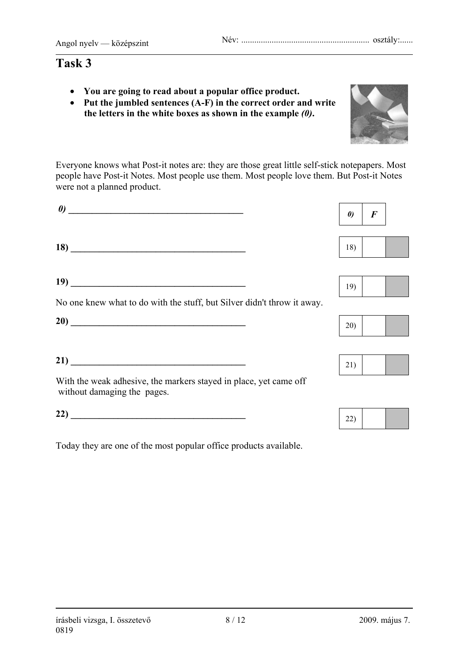- **You are going to read about a popular office product.**
- **Put the jumbled sentences (A-F) in the correct order and write the letters in the white boxes as shown in the example** *(0)***.**

Everyone knows what Post-it notes are: they are those great little self-stick notepapers. Most people have Post-it Notes. Most people use them. Most people love them. But Post-it Notes were not a planned product.

| $\boldsymbol{\theta}$                                                                            | $\boldsymbol{\theta}$ | $\bm{F}$ |
|--------------------------------------------------------------------------------------------------|-----------------------|----------|
| $\overline{18}$ $\overline{\phantom{25}18}$                                                      | 18)                   |          |
|                                                                                                  |                       |          |
|                                                                                                  | 19)                   |          |
| No one knew what to do with the stuff, but Silver didn't throw it away.                          |                       |          |
| 20)                                                                                              | 20)                   |          |
| $\overline{21)}$ $\overline{\phantom{21}}$                                                       | 21)                   |          |
| With the weak adhesive, the markers stayed in place, yet came off<br>without damaging the pages. |                       |          |
| 22) $\qquad$                                                                                     | 22)                   |          |

Today they are one of the most popular office products available.











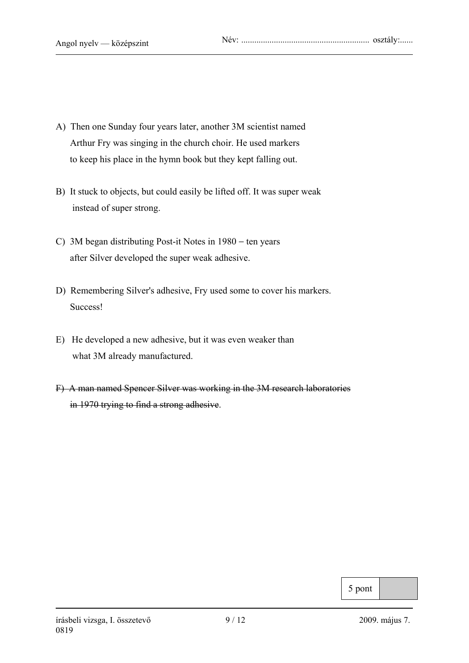- A) Then one Sunday four years later, another 3M scientist named Arthur Fry was singing in the church choir. He used markers to keep his place in the hymn book but they kept falling out.
- B) It stuck to objects, but could easily be lifted off. It was super weak instead of super strong.
- C) 3M began distributing Post-it Notes in 1980 − ten years after Silver developed the super weak adhesive.
- D) Remembering Silver's adhesive, Fry used some to cover his markers. Success!
- E) He developed a new adhesive, but it was even weaker than what 3M already manufactured.
- F) A man named Spencer Silver was working in the 3M research laboratories in 1970 trying to find a strong adhesive.

5 pont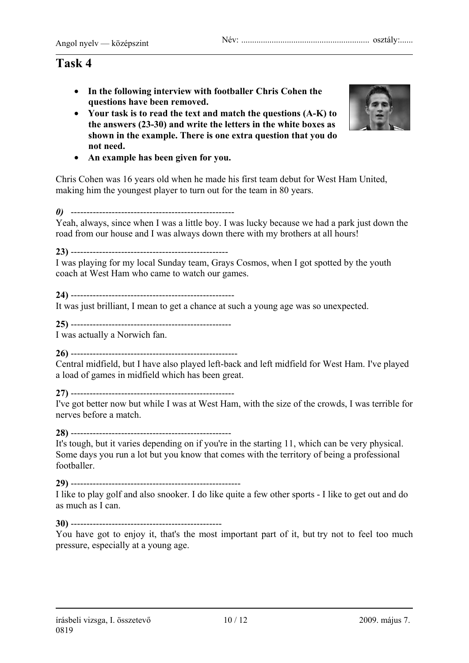- **In the following interview with footballer Chris Cohen the questions have been removed.**
- **Your task is to read the text and match the questions (A-K) to the answers (23-30) and write the letters in the white boxes as shown in the example. There is one extra question that you do not need.**



• **An example has been given for you.** 

Chris Cohen was 16 years old when he made his first team debut for West Ham United, making him the youngest player to turn out for the team in 80 years.

*0)* ----------------------------------------------------

Yeah, always, since when I was a little boy. I was lucky because we had a park just down the road from our house and I was always down there with my brothers at all hours!

**23)** --------------------------------------------------

I was playing for my local Sunday team, Grays Cosmos, when I got spotted by the youth coach at West Ham who came to watch our games.

**24)** ----------------------------------------------------

It was just brilliant, I mean to get a chance at such a young age was so unexpected.

**25)** ---------------------------------------------------

I was actually a Norwich fan.

**26)** -----------------------------------------------------

Central midfield, but I have also played left-back and left midfield for West Ham. I've played a load of games in midfield which has been great.

**27)** ----------------------------------------------------

I've got better now but while I was at West Ham, with the size of the crowds, I was terrible for nerves before a match.

**28)** ---------------------------------------------------

It's tough, but it varies depending on if you're in the starting 11, which can be very physical. Some days you run a lot but you know that comes with the territory of being a professional footballer.

**29)** ------------------------------------------------------

I like to play golf and also snooker. I do like quite a few other sports - I like to get out and do as much as I can.

#### **30)** ------------------------------------------------

You have got to enjoy it, that's the most important part of it, but try not to feel too much pressure, especially at a young age.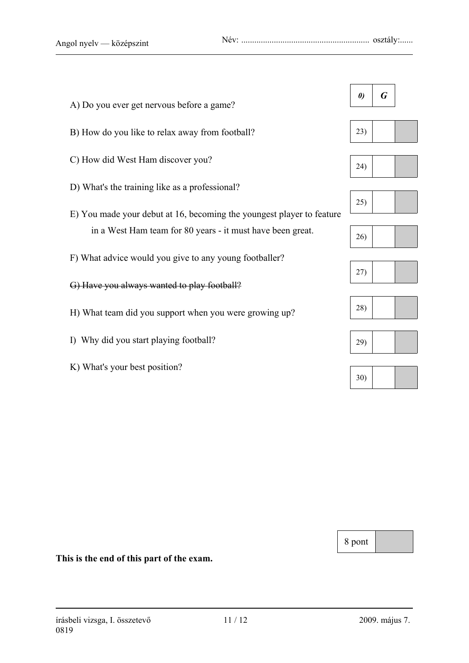| A) Do you ever get nervous before a game?                             | $\boldsymbol{\theta}$ | G |  |
|-----------------------------------------------------------------------|-----------------------|---|--|
| B) How do you like to relax away from football?                       | 23)                   |   |  |
| C) How did West Ham discover you?                                     | (24)                  |   |  |
| D) What's the training like as a professional?                        |                       |   |  |
| E) You made your debut at 16, becoming the youngest player to feature | 25)                   |   |  |
| in a West Ham team for 80 years - it must have been great.            | 26)                   |   |  |
| F) What advice would you give to any young footballer?                |                       |   |  |
| G) Have you always wanted to play football?                           | 27)                   |   |  |
| H) What team did you support when you were growing up?                | 28)                   |   |  |
|                                                                       |                       |   |  |
| I) Why did you start playing football?                                | 29)                   |   |  |
| K) What's your best position?                                         | 30)                   |   |  |
|                                                                       |                       |   |  |

8 pont

**This is the end of this part of the exam.**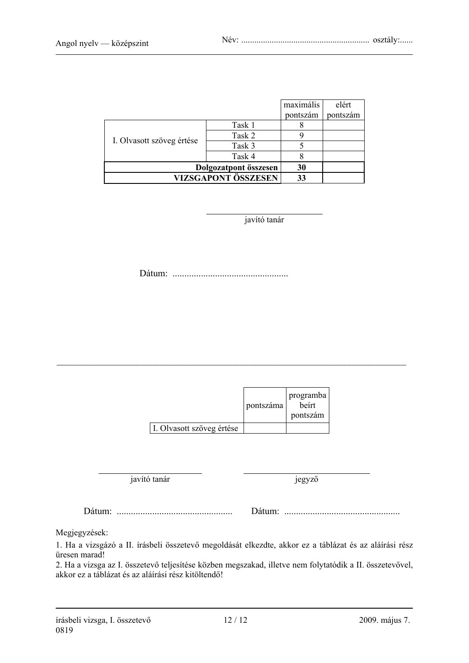|                           |        | maximális | elért    |
|---------------------------|--------|-----------|----------|
|                           |        | pontszám  | pontszám |
|                           | Task 1 |           |          |
| I. Olvasott szöveg értése | Task 2 |           |          |
|                           | Task 3 |           |          |
|                           | Task 4 |           |          |
| Dolgozatpont összesen     | 30     |           |          |
| VIZSGAPONT ÖSSZESEN       |        | 33        |          |

javító tanár

Dátum: .................................................

|                           | pontszáma | programba<br>beirt<br>pontszám |
|---------------------------|-----------|--------------------------------|
| I. Olvasott szöveg értése |           |                                |

\_\_\_\_\_\_\_\_\_\_\_\_\_\_\_\_\_\_\_\_\_\_\_\_\_\_\_\_\_\_\_\_\_\_\_\_\_\_\_\_\_\_\_\_\_\_\_\_\_\_\_\_\_\_\_\_\_\_\_\_\_\_\_\_\_\_\_\_\_\_\_\_\_\_

javító tanár jegyző

Dátum: ................................................. Dátum: .................................................

Megjegyzések:

1. Ha a vizsgázó a II. írásbeli összetevő megoldását elkezdte, akkor ez a táblázat és az aláírási rész üresen marad!

2. Ha a vizsga az I. összetevő teljesítése közben megszakad, illetve nem folytatódik a II. összetevővel, akkor ez a táblázat és az aláírási rész kitöltendő!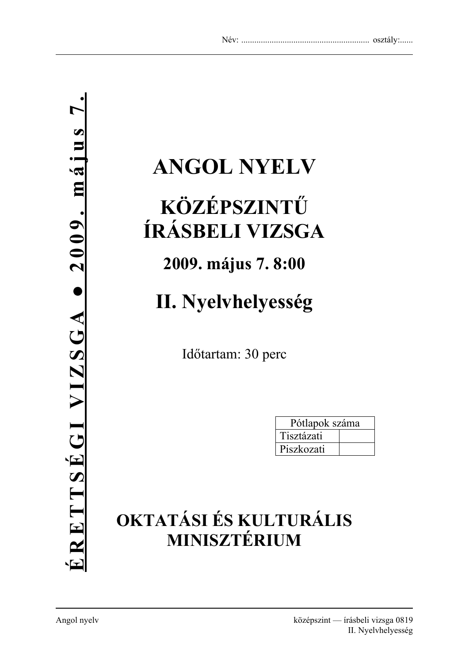# **ANGOL NYELV**

# **KÖZÉPSZINTŰ ÍRÁSBELI VIZSGA**

## **2009. május 7. 8:00**

# **II. Nyelvhelyesség**

Időtartam: 30 perc

| Pótlapok száma |  |
|----------------|--|
| Tisztázati     |  |
| Piszkozati     |  |

# **OKTATÁSI ÉS KULTURÁLIS MINISZTÉRIUM**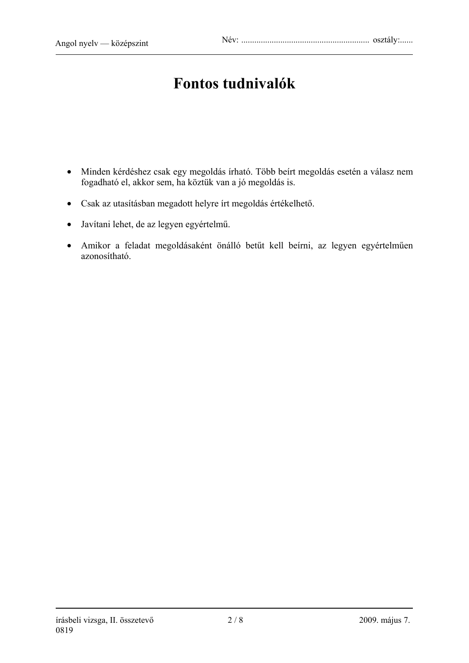### **Fontos tudnivalók**

- Minden kérdéshez csak egy megoldás írható. Több beírt megoldás esetén a válasz nem fogadható el, akkor sem, ha köztük van a jó megoldás is.
- Csak az utasításban megadott helyre írt megoldás értékelhető.
- Javítani lehet, de az legyen egyértelmű.
- Amikor a feladat megoldásaként önálló betűt kell beírni, az legyen egyértelműen azonosítható.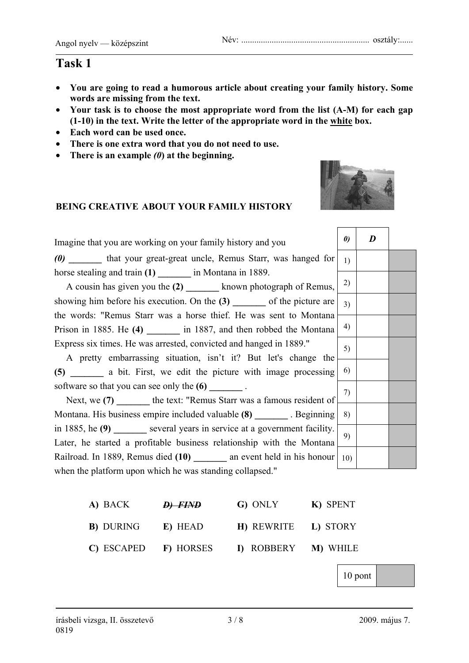- **You are going to read a humorous article about creating your family history. Some words are missing from the text.**
- **Your task is to choose the most appropriate word from the list (A-M) for each gap (1-10) in the text. Write the letter of the appropriate word in the white box.**
- **Each word can be used once.**
- **There is one extra word that you do not need to use.**
- **There is an example** *(0***) at the beginning.**

#### **BEING CREATIVE ABOUT YOUR FAMILY HISTORY**



┱

| Imagine that you are working on your family history and you               | $\boldsymbol{\theta}$ | D |  |
|---------------------------------------------------------------------------|-----------------------|---|--|
| (0) that your great-great uncle, Remus Starr, was hanged for              | 1)                    |   |  |
| horse stealing and train $(1)$ ________ in Montana in 1889.               |                       |   |  |
| A cousin has given you the (2) __________ known photograph of Remus,      | 2)                    |   |  |
| showing him before his execution. On the $(3)$ _______ of the picture are | 3)                    |   |  |
| the words: "Remus Starr was a horse thief. He was sent to Montana         |                       |   |  |
| Prison in 1885. He (4) ________ in 1887, and then robbed the Montana      | 4)                    |   |  |
| Express six times. He was arrested, convicted and hanged in 1889."        | 5)                    |   |  |
| A pretty embarrassing situation, isn't it? But let's change the           |                       |   |  |
| (5) ________ a bit. First, we edit the picture with image processing      | 6)                    |   |  |
| software so that you can see only the (6) ________.                       |                       |   |  |
| Next, we (7) _______ the text: "Remus Starr was a famous resident of      | 7)                    |   |  |
| Montana. His business empire included valuable (8) ________. Beginning    | 8)                    |   |  |
| in 1885, he $(9)$ several years in service at a government facility.      |                       |   |  |
| Later, he started a profitable business relationship with the Montana     | 9)                    |   |  |
| Railroad. In 1889, Remus died (10) ________ an event held in his honour   | 10 <sub>0</sub>       |   |  |
| when the platform upon which he was standing collapsed."                  |                       |   |  |

| A) BACK           | <b>D</b> ) FIND | G) ONLY            | K) SPENT        |
|-------------------|-----------------|--------------------|-----------------|
| <b>B</b> ) DURING | E) HEAD         | <b>H</b> ) REWRITE | L) STORY        |
| C) ESCAPED        | F) HORSES       | I) ROBBERY         | <b>M)</b> WHILE |

10 pont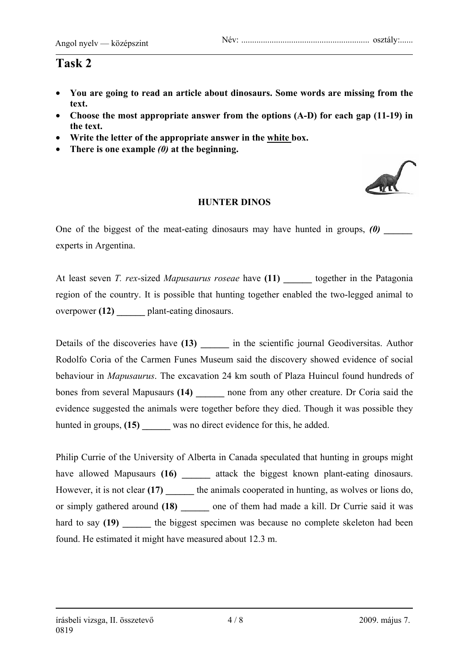- **You are going to read an article about dinosaurs. Some words are missing from the text.**
- **Choose the most appropriate answer from the options (A-D) for each gap (11-19) in the text.**
- **Write the letter of the appropriate answer in the white box.**
- **There is one example** *(0)* **at the beginning.**



#### **HUNTER DINOS**

One of the biggest of the meat-eating dinosaurs may have hunted in groups,  $(0)$ experts in Argentina.

At least seven *T. rex*-sized *Mapusaurus roseae* have (11) together in the Patagonia region of the country. It is possible that hunting together enabled the two-legged animal to overpower **(12) \_\_\_\_\_\_** plant-eating dinosaurs.

Details of the discoveries have (13) **a** in the scientific journal Geodiversitas. Author Rodolfo Coria of the Carmen Funes Museum said the discovery showed evidence of social behaviour in *Mapusaurus*. The excavation 24 km south of Plaza Huincul found hundreds of bones from several Mapusaurs (14) **can allow the set of the creature.** Dr Coria said the evidence suggested the animals were together before they died. Though it was possible they hunted in groups, (15) was no direct evidence for this, he added.

Philip Currie of the University of Alberta in Canada speculated that hunting in groups might have allowed Mapusaurs (16) attack the biggest known plant-eating dinosaurs. However, it is not clear **(17) \_\_\_\_\_\_** the animals cooperated in hunting, as wolves or lions do, or simply gathered around **(18) \_\_\_\_\_\_** one of them had made a kill. Dr Currie said it was hard to say (19) **the biggest specimen was because no complete skeleton had been** found. He estimated it might have measured about 12.3 m.

#### írásbeli vizsga, II. összetevő 4 / 8 2009. május 7. 0819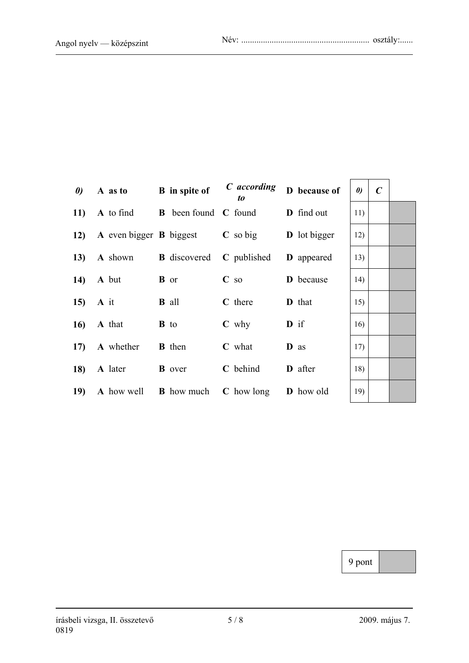| $\boldsymbol{\theta}$ | A as to B in spite of |                                                                        | C according<br>to             | D because of        | $\boldsymbol{\theta}$ | $\mathcal{C}$ |
|-----------------------|-----------------------|------------------------------------------------------------------------|-------------------------------|---------------------|-----------------------|---------------|
|                       |                       | 11) A to find B been found C found D find out                          |                               |                     | 11)                   |               |
|                       |                       | 12) A even bigger B biggest                                            | $\mathbf C$ so big            | <b>D</b> lot bigger | 12)                   |               |
|                       |                       | 13) A shown B discovered                                               | C published <b>D</b> appeared |                     | 13)                   |               |
|                       | $14$ A but            | <b>B</b> or                                                            | $C$ so                        | <b>D</b> because    | 14)                   |               |
|                       | 15) A it              | <b>B</b> all                                                           | C there                       | <b>D</b> that       | 15)                   |               |
|                       | $16$ A that           | <b>B</b> to                                                            | $C$ why                       | $\mathbf{D}$ if     | 16)                   |               |
|                       | 17) A whether         | <b>B</b> then                                                          | <b>C</b> what                 | D as                | 17)                   |               |
|                       | 18) A later B over    |                                                                        | C behind                      | <b>D</b> after      | 18)                   |               |
| 19)                   |                       | <b>A</b> how well <b>B</b> how much <b>C</b> how long <b>D</b> how old |                               |                     | 19)                   |               |

| $\boldsymbol{\theta}$ | $\pmb{C}$ |  |
|-----------------------|-----------|--|
| 11)                   |           |  |
| 12)                   |           |  |
| 13)                   |           |  |
| 14)                   |           |  |
| 15)                   |           |  |
| 16)                   |           |  |
| 17)                   |           |  |
| 18)                   |           |  |
| 19)                   |           |  |

9 pont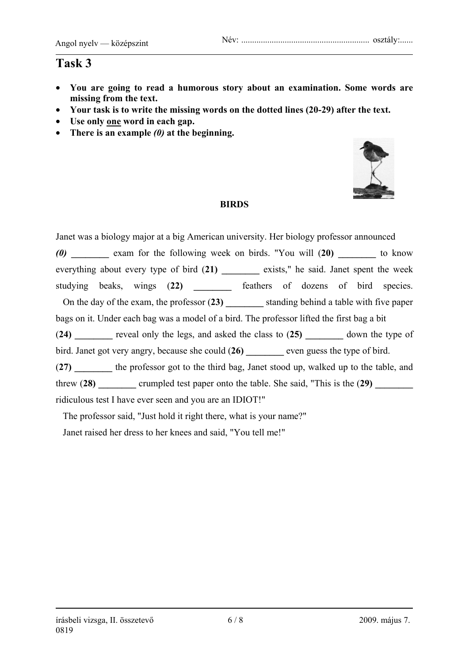- **You are going to read a humorous story about an examination. Some words are missing from the text.**
- **Your task is to write the missing words on the dotted lines (20-29) after the text.**
- **Use only one word in each gap.**
- **There is an example** *(0)* **at the beginning.**



#### **BIRDS**

Janet was a biology major at a big American university. Her biology professor announced *(0)* **\_\_\_\_\_\_\_\_** exam for the following week on birds. "You will (**20) \_\_\_\_\_\_\_\_** to know everything about every type of bird (**21) \_\_\_\_\_\_\_\_** exists," he said. Janet spent the week studying beaks, wings (**22) \_\_\_\_\_\_\_\_** feathers of dozens of bird species. On the day of the exam, the professor (**23) \_\_\_\_\_\_\_\_** standing behind a table with five paper bags on it. Under each bag was a model of a bird. The professor lifted the first bag a bit (**24) \_\_\_\_\_\_\_\_** reveal only the legs, and asked the class to (**25) \_\_\_\_\_\_\_\_** down the type of bird. Janet got very angry, because she could (26) even guess the type of bird. (**27) \_\_\_\_\_\_\_\_** the professor got to the third bag, Janet stood up, walked up to the table, and threw (28) crumpled test paper onto the table. She said, "This is the (29) ridiculous test I have ever seen and you are an IDIOT!"

The professor said, "Just hold it right there, what is your name?"

Janet raised her dress to her knees and said, "You tell me!"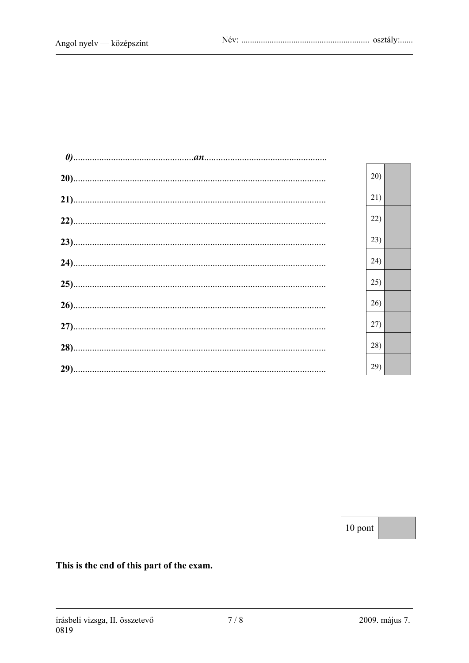|  | 20) |
|--|-----|
|  | 21) |
|  | 22) |
|  | 23) |
|  | 24) |
|  | 25) |
|  | 26) |
|  | 27) |
|  | 28) |
|  | 29) |

10 pont

This is the end of this part of the exam.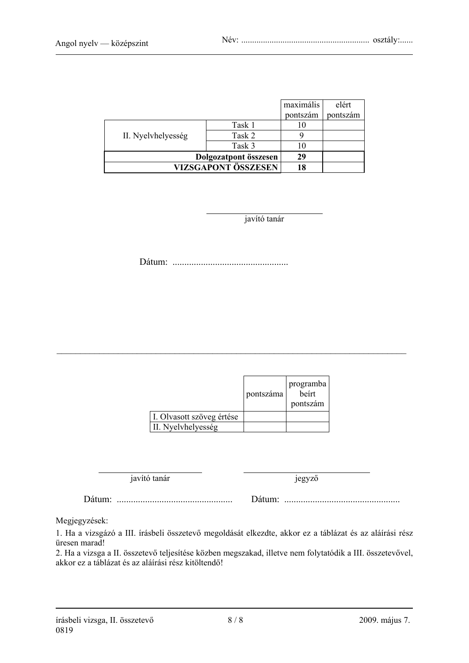|                    |                       | maximális | elért    |
|--------------------|-----------------------|-----------|----------|
|                    |                       | pontszám  | pontszám |
|                    | Task 1                | 10        |          |
| II. Nyelvhelyesség | Task 2                |           |          |
|                    | Task 3                |           |          |
|                    | Dolgozatpont összesen | 29        |          |
|                    | VIZSGAPONT ÖSSZESEN   | 18        |          |

javító tanár

Dátum: .................................................

|                           | pontszáma | programba<br>beirt<br>pontszám |
|---------------------------|-----------|--------------------------------|
| I. Olvasott szöveg értése |           |                                |
| II. Nyelvhelyesség        |           |                                |

\_\_\_\_\_\_\_\_\_\_\_\_\_\_\_\_\_\_\_\_\_\_\_\_\_\_\_\_\_\_\_\_\_\_\_\_\_\_\_\_\_\_\_\_\_\_\_\_\_\_\_\_\_\_\_\_\_\_\_\_\_\_\_\_\_\_\_\_\_\_\_\_\_\_

javító tanár jegyző

Dátum: ................................................. Dátum: .................................................

Megjegyzések:

1. Ha a vizsgázó a III. írásbeli összetevő megoldását elkezdte, akkor ez a táblázat és az aláírási rész üresen marad!

2. Ha a vizsga a II. összetevő teljesítése közben megszakad, illetve nem folytatódik a III. összetevővel, akkor ez a táblázat és az aláírási rész kitöltendő!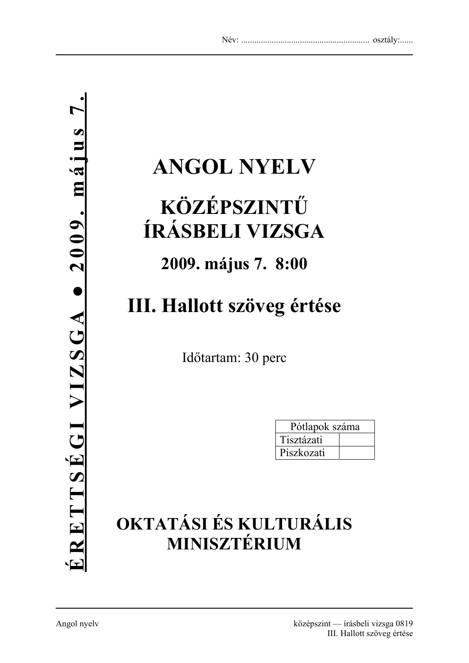# **ANGOL NYELV**

# **KÖZÉPSZINTŰ ÍRÁSBELI VIZSGA**

### **2009. május 7. 8:00**

# **III. Hallott szöveg értése**

Időtartam: 30 perc

| Pótlapok száma |  |
|----------------|--|
| Tisztázati     |  |
| Piszkozati     |  |

## **OKTATÁSI ÉS KULTURÁLIS MINISZTÉRIUM**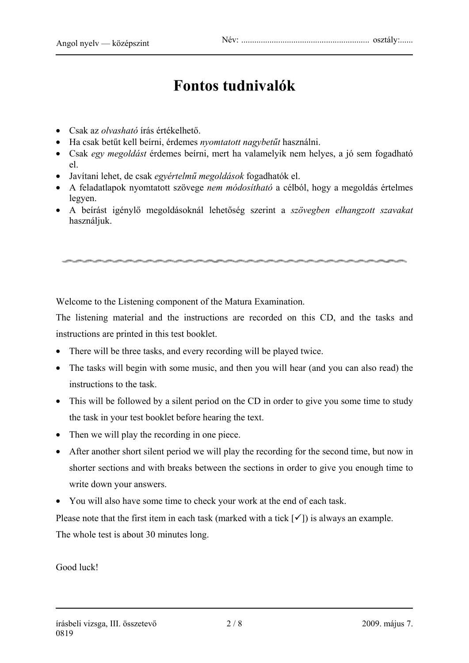### **Fontos tudnivalók**

- Csak az *olvasható* írás értékelhető.
- Ha csak betűt kell beírni, érdemes *nyomtatott nagybetűt* használni.
- Csak *egy megoldást* érdemes beírni, mert ha valamelyik nem helyes, a jó sem fogadható el.
- Javítani lehet, de csak *egyértelmű megoldások* fogadhatók el.
- A feladatlapok nyomtatott szövege *nem módosítható* a célból, hogy a megoldás értelmes legyen.
- A beírást igénylő megoldásoknál lehetőség szerint a *szövegben elhangzott szavakat* használjuk.

Welcome to the Listening component of the Matura Examination.

The listening material and the instructions are recorded on this CD, and the tasks and instructions are printed in this test booklet.

- There will be three tasks, and every recording will be played twice.
- The tasks will begin with some music, and then you will hear (and you can also read) the instructions to the task.
- This will be followed by a silent period on the CD in order to give you some time to study the task in your test booklet before hearing the text.
- Then we will play the recording in one piece.
- After another short silent period we will play the recording for the second time, but now in shorter sections and with breaks between the sections in order to give you enough time to write down your answers.
- You will also have some time to check your work at the end of each task.

Please note that the first item in each task (marked with a tick  $\lceil \checkmark \rceil$ ) is always an example. The whole test is about 30 minutes long.

Good luck!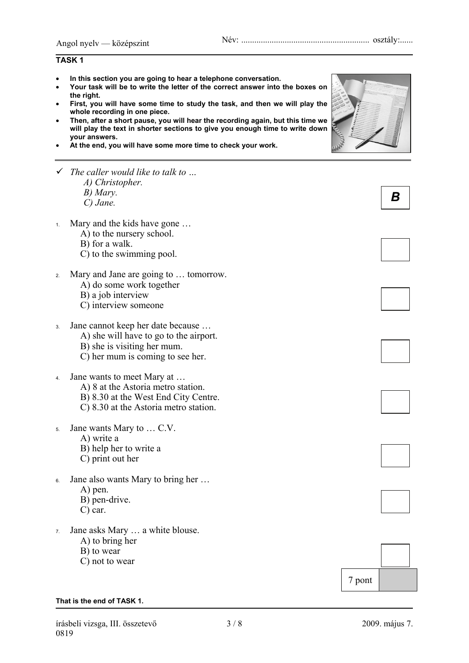#### **TASK 1**

- **In this section you are going to hear a telephone conversation.**
- **Your task will be to write the letter of the correct answer into the boxes on the right.**
- **First, you will have some time to study the task, and then we will play the whole recording in one piece.**
- **Then, after a short pause, you will hear the recording again, but this time we will play the text in shorter sections to give you enough time to write down your answers.**
- **At the end, you will have some more time to check your work.**
- 9 *The caller would like to talk to … A) Christopher. B) Mary. C) Jane.*
- 1. Mary and the kids have gone …
	- A) to the nursery school.
	- B) for a walk.
	- C) to the swimming pool.
- 2. Mary and Jane are going to … tomorrow.
	- A) do some work together
	- B) a job interview
	- C) interview someone
- 3. Jane cannot keep her date because …
	- A) she will have to go to the airport.
	- B) she is visiting her mum.
	- C) her mum is coming to see her.
- 4. Jane wants to meet Mary at …
	- A) 8 at the Astoria metro station.
	- B) 8.30 at the West End City Centre.
	- C) 8.30 at the Astoria metro station.
- 5. Jane wants Mary to … C.V.
	- A) write a
	- B) help her to write a
	- C) print out her
- 6. Jane also wants Mary to bring her … A) pen.
	- B) pen-drive.
	- C) car.
- 7. Jane asks Mary … a white blouse.
	- A) to bring her
	- B) to wear
	- C) not to wear

#### **That is the end of TASK 1.**





*B* 











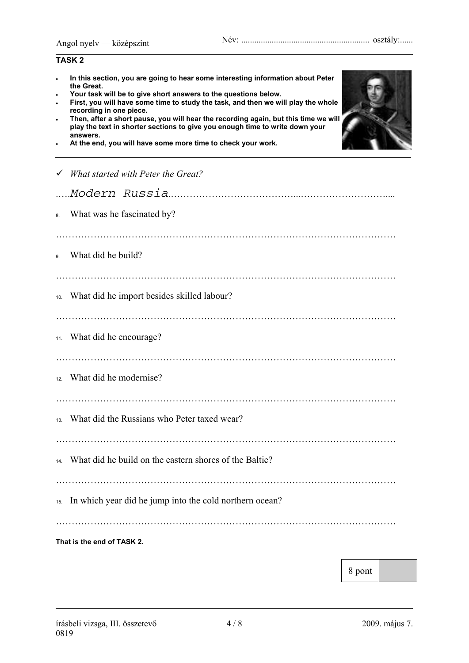|                                     | <b>TASK2</b>                                                                                                                                                                                                                                                                                                                                                                                                                                                                                                                        |
|-------------------------------------|-------------------------------------------------------------------------------------------------------------------------------------------------------------------------------------------------------------------------------------------------------------------------------------------------------------------------------------------------------------------------------------------------------------------------------------------------------------------------------------------------------------------------------------|
| $\bullet$<br>$\bullet$<br>$\bullet$ | In this section, you are going to hear some interesting information about Peter<br>the Great.<br>Your task will be to give short answers to the questions below.<br>First, you will have some time to study the task, and then we will play the whole<br>recording in one piece.<br>Then, after a short pause, you will hear the recording again, but this time we will<br>play the text in shorter sections to give you enough time to write down your<br>answers.<br>At the end, you will have some more time to check your work. |
|                                     | What started with Peter the Great?                                                                                                                                                                                                                                                                                                                                                                                                                                                                                                  |
|                                     |                                                                                                                                                                                                                                                                                                                                                                                                                                                                                                                                     |
| 8.                                  | What was he fascinated by?                                                                                                                                                                                                                                                                                                                                                                                                                                                                                                          |
| 9.                                  | What did he build?                                                                                                                                                                                                                                                                                                                                                                                                                                                                                                                  |
| 10.                                 | What did he import besides skilled labour?                                                                                                                                                                                                                                                                                                                                                                                                                                                                                          |
|                                     | 11. What did he encourage?                                                                                                                                                                                                                                                                                                                                                                                                                                                                                                          |
|                                     | <sup>12</sup> . What did he modernise?                                                                                                                                                                                                                                                                                                                                                                                                                                                                                              |
| 13.                                 | What did the Russians who Peter taxed wear?                                                                                                                                                                                                                                                                                                                                                                                                                                                                                         |
|                                     | 14. What did he build on the eastern shores of the Baltic?                                                                                                                                                                                                                                                                                                                                                                                                                                                                          |
|                                     | 15. In which year did he jump into the cold northern ocean?                                                                                                                                                                                                                                                                                                                                                                                                                                                                         |
|                                     | That is the end of TASK 2.                                                                                                                                                                                                                                                                                                                                                                                                                                                                                                          |

8 pont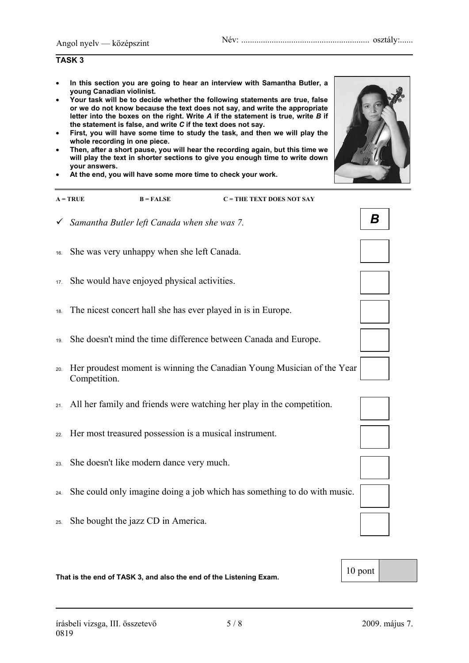#### **TASK 3**

- **In this section you are going to hear an interview with Samantha Butler, a young Canadian violinist.**
- **Your task will be to decide whether the following statements are true, false or we do not know because the text does not say, and write the appropriate letter into the boxes on the right. Write** *A* **if the statement is true, write** *B* **if the statement is false, and write** *C* **if the text does not say.**
- **First, you will have some time to study the task, and then we will play the whole recording in one piece.**
- **Then, after a short pause, you will hear the recording again, but this time we will play the text in shorter sections to give you enough time to write down your answers.**
- **At the end, you will have some more time to check your work.**

| $A = TRUE$ | $B = FALSE$ | $C = THE TEXT DOES NOT SAY$ |
|------------|-------------|-----------------------------|
|            |             |                             |

- 9 *Samantha Butler left Canada when she was 7.*
- 16. She was very unhappy when she left Canada.
- 17. She would have enjoyed physical activities.
- 18. The nicest concert hall she has ever played in is in Europe.
- 19. She doesn't mind the time difference between Canada and Europe.
- 20. Her proudest moment is winning the Canadian Young Musician of the Year Competition.
- 21. All her family and friends were watching her play in the competition.
- 22. Her most treasured possession is a musical instrument.
- 23. She doesn't like modern dance very much.
- 24. She could only imagine doing a job which has something to do with music.
- 25. She bought the jazz CD in America.

That is the end of TASK 3, and also the end of the Listening Exam.



*B* 







| 0<br>nont |
|-----------|
|-----------|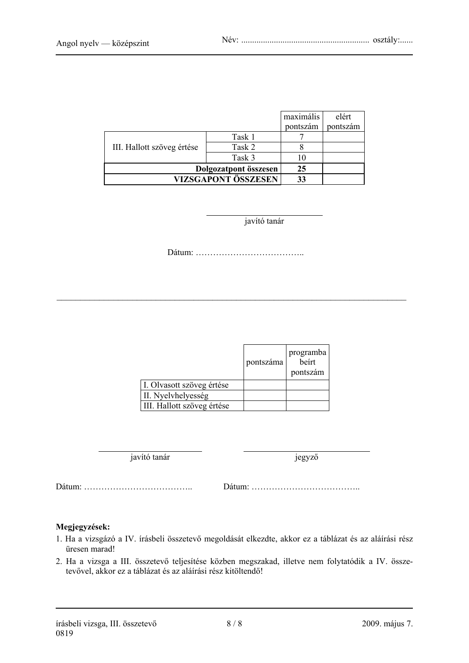|                            |                       | maximális | elért    |
|----------------------------|-----------------------|-----------|----------|
|                            |                       | pontszám  | pontszám |
|                            | Task 1                |           |          |
| III. Hallott szöveg értése | Task 2                |           |          |
| Task 3                     |                       |           |          |
|                            | Dolgozatpont összesen | 25        |          |
|                            | VIZSGAPONT ÖSSZESEN   | 33        |          |

javító tanár

Dátum: ………………………………..

\_\_\_\_\_\_\_\_\_\_\_\_\_\_\_\_\_\_\_\_\_\_\_\_\_\_\_\_\_\_\_\_\_\_\_\_\_\_\_\_\_\_\_\_\_\_\_\_\_\_\_\_\_\_\_\_\_\_\_\_\_\_\_\_\_\_\_\_\_\_\_\_\_\_

|                            | pontszáma | programba<br>beirt<br>pontszám |
|----------------------------|-----------|--------------------------------|
| I. Olvasott szöveg értése  |           |                                |
| II. Nyelvhelyesség         |           |                                |
| III. Hallott szöveg értése |           |                                |

javító tanár jegyző

Dátum: ……………………………….. Dátum: ………………………………..

#### **Megjegyzések:**

- 1. Ha a vizsgázó a IV. írásbeli összetevő megoldását elkezdte, akkor ez a táblázat és az aláírási rész üresen marad!
- 2. Ha a vizsga a III. összetevő teljesítése közben megszakad, illetve nem folytatódik a IV. összetevővel, akkor ez a táblázat és az aláírási rész kitöltendő!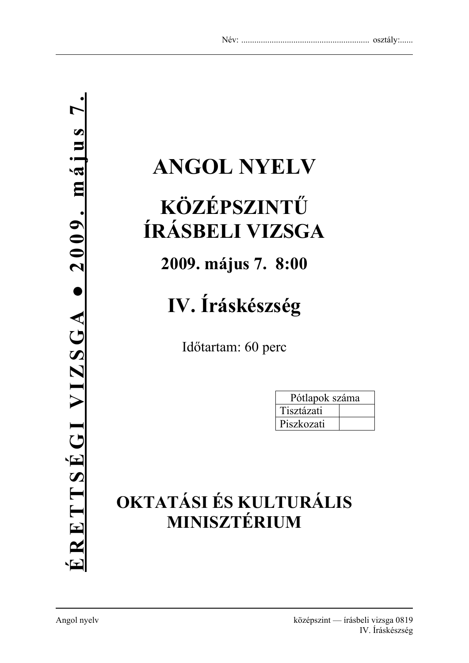# **ANGOL NYELV**

# **KÖZÉPSZINTŰ ÍRÁSBELI VIZSGA**

**2009. május 7. 8:00** 

# **IV. Íráskészség**

Időtartam: 60 perc

| Pótlapok száma |  |  |
|----------------|--|--|
| Tisztázati     |  |  |
| Piszkozati     |  |  |

# **OKTATÁSI ÉS KULTURÁLIS MINISZTÉRIUM**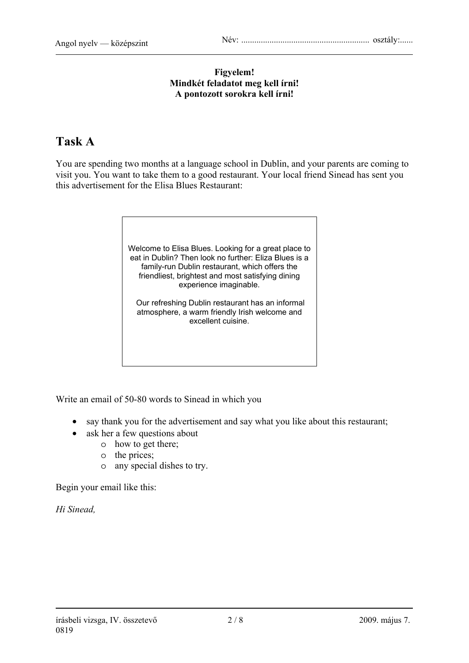#### **Figyelem! Mindkét feladatot meg kell írni! A pontozott sorokra kell írni!**

### **Task A**

You are spending two months at a language school in Dublin, and your parents are coming to visit you. You want to take them to a good restaurant. Your local friend Sinead has sent you this advertisement for the Elisa Blues Restaurant:



Write an email of 50-80 words to Sinead in which you

- say thank you for the advertisement and say what you like about this restaurant;
- ask her a few questions about
	- o how to get there;
	- o the prices;
	- o any special dishes to try.

Begin your email like this:

*Hi Sinead,*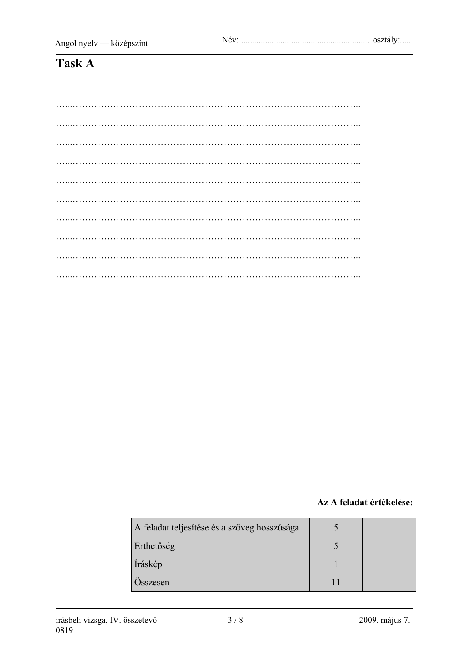### $TaskA$

#### Az A feladat értékelése:

| A feladat teljesítése és a szöveg hosszúsága |  |
|----------------------------------------------|--|
| Érthetőség                                   |  |
| Íráskép                                      |  |
| Osszesen                                     |  |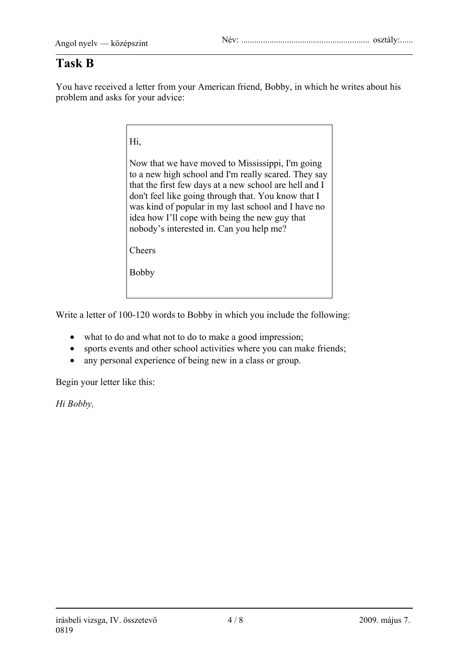### **Task B**

You have received a letter from your American friend, Bobby, in which he writes about his problem and asks for your advice:

Hi,

Now that we have moved to Mississippi, I'm going to a new high school and I'm really scared. They say that the first few days at a new school are hell and I don't feel like going through that. You know that I was kind of popular in my last school and I have no idea how I'll cope with being the new guy that nobody's interested in. Can you help me?

Cheers

Bobby

Write a letter of 100-120 words to Bobby in which you include the following:

- what to do and what not to do to make a good impression;
- sports events and other school activities where you can make friends;
- any personal experience of being new in a class or group.

Begin your letter like this:

*Hi Bobby,*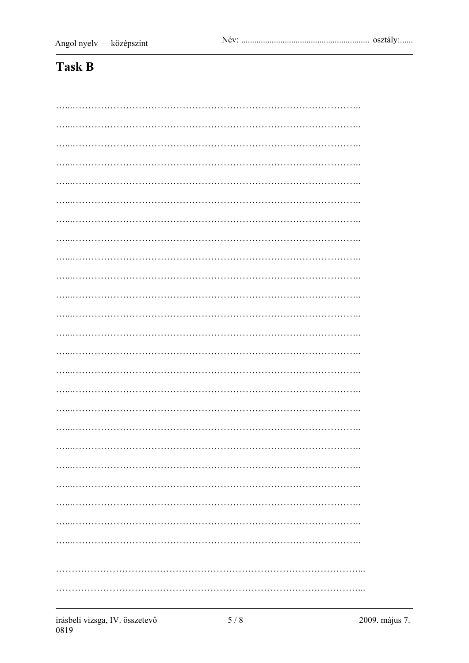### **Task B**

| . |  |
|---|--|
|   |  |
|   |  |
|   |  |
|   |  |
|   |  |
|   |  |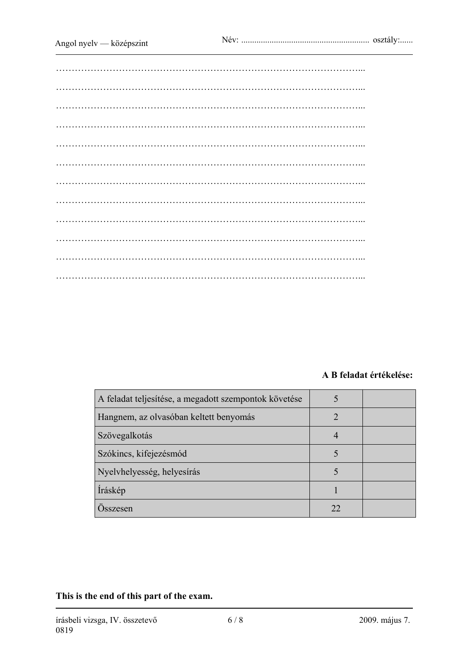#### **A B feladat értékelése:**

| A feladat teljesítése, a megadott szempontok követése |    |  |
|-------------------------------------------------------|----|--|
| Hangnem, az olvasóban keltett benyomás                |    |  |
| Szövegalkotás                                         |    |  |
| Szókincs, kifejezésmód                                |    |  |
| Nyelvhelyesség, helyesírás                            |    |  |
| Íráskép                                               |    |  |
| Osszesen                                              | 22 |  |

**This is the end of this part of the exam.**